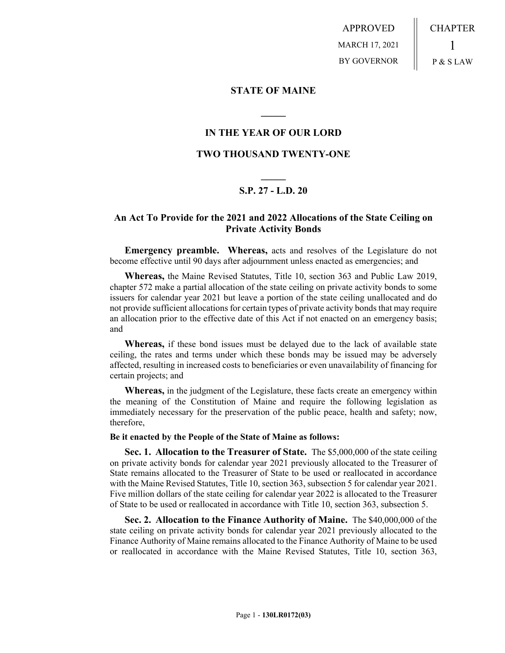APPROVED MARCH 17, 2021 BY GOVERNOR CHAPTER 1 P & S LAW

**STATE OF MAINE**

## **IN THE YEAR OF OUR LORD**

**\_\_\_\_\_**

## **TWO THOUSAND TWENTY-ONE**

# **\_\_\_\_\_ S.P. 27 - L.D. 20**

## **An Act To Provide for the 2021 and 2022 Allocations of the State Ceiling on Private Activity Bonds**

**Emergency preamble. Whereas,** acts and resolves of the Legislature do not become effective until 90 days after adjournment unless enacted as emergencies; and

**Whereas,** the Maine Revised Statutes, Title 10, section 363 and Public Law 2019, chapter 572 make a partial allocation of the state ceiling on private activity bonds to some issuers for calendar year 2021 but leave a portion of the state ceiling unallocated and do not provide sufficient allocations for certain types of private activity bonds that may require an allocation prior to the effective date of this Act if not enacted on an emergency basis; and

**Whereas,** if these bond issues must be delayed due to the lack of available state ceiling, the rates and terms under which these bonds may be issued may be adversely affected, resulting in increased costs to beneficiaries or even unavailability of financing for certain projects; and

**Whereas,** in the judgment of the Legislature, these facts create an emergency within the meaning of the Constitution of Maine and require the following legislation as immediately necessary for the preservation of the public peace, health and safety; now, therefore,

#### **Be it enacted by the People of the State of Maine as follows:**

**Sec. 1. Allocation to the Treasurer of State.** The \$5,000,000 of the state ceiling on private activity bonds for calendar year 2021 previously allocated to the Treasurer of State remains allocated to the Treasurer of State to be used or reallocated in accordance with the Maine Revised Statutes, Title 10, section 363, subsection 5 for calendar year 2021. Five million dollars of the state ceiling for calendar year 2022 is allocated to the Treasurer of State to be used or reallocated in accordance with Title 10, section 363, subsection 5.

**Sec. 2. Allocation to the Finance Authority of Maine.** The \$40,000,000 of the state ceiling on private activity bonds for calendar year 2021 previously allocated to the Finance Authority of Maine remains allocated to the Finance Authority of Maine to be used or reallocated in accordance with the Maine Revised Statutes, Title 10, section 363,